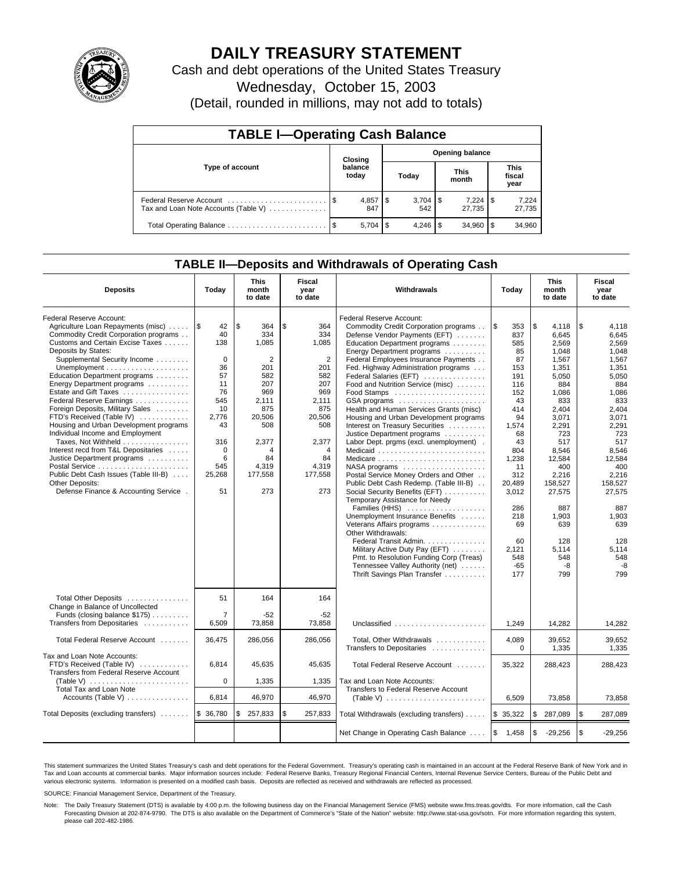

# **DAILY TREASURY STATEMENT**

Cash and debt operations of the United States Treasury

Wednesday, October 15, 2003

(Detail, rounded in millions, may not add to totals)

| <b>TABLE I-Operating Cash Balance</b>                           |      |                  |                        |           |  |                      |     |                               |  |
|-----------------------------------------------------------------|------|------------------|------------------------|-----------|--|----------------------|-----|-------------------------------|--|
|                                                                 |      | Closing          | <b>Opening balance</b> |           |  |                      |     |                               |  |
| Type of account                                                 |      | balance<br>today |                        | Today     |  | <b>This</b><br>month |     | <b>This</b><br>fiscal<br>year |  |
| Federal Reserve Account<br>Tax and Loan Note Accounts (Table V) |      | 847              |                        | 542       |  | 7,224<br>27.735      | 1\$ | 7,224<br>27,735               |  |
|                                                                 | - \$ | 5,704            | l \$                   | $4.246$ S |  | 34.960               |     | 34,960                        |  |

## **TABLE II—Deposits and Withdrawals of Operating Cash**

| <b>Deposits</b>                                                                                                                                                                                                                                                                                                                                                                                                                                                                                                                                                                                                                                                          | Today                                                                                                                                    | <b>This</b><br>month<br>to date                                                                                                                           | Fiscal<br>year<br>to date                                                                                                                               | Withdrawals                                                                                                                                                                                                                                                                                                                                                                                                                                                                                                                                                                                                                                                                                                                                                                                                                                                                                                                                                                                                           | Today                                                                                                                                                                                                                   | <b>This</b><br>month<br>to date                                                                                                                                                                                                                      | Fiscal<br>year<br>to date                                                                                                                                                                                                                            |
|--------------------------------------------------------------------------------------------------------------------------------------------------------------------------------------------------------------------------------------------------------------------------------------------------------------------------------------------------------------------------------------------------------------------------------------------------------------------------------------------------------------------------------------------------------------------------------------------------------------------------------------------------------------------------|------------------------------------------------------------------------------------------------------------------------------------------|-----------------------------------------------------------------------------------------------------------------------------------------------------------|---------------------------------------------------------------------------------------------------------------------------------------------------------|-----------------------------------------------------------------------------------------------------------------------------------------------------------------------------------------------------------------------------------------------------------------------------------------------------------------------------------------------------------------------------------------------------------------------------------------------------------------------------------------------------------------------------------------------------------------------------------------------------------------------------------------------------------------------------------------------------------------------------------------------------------------------------------------------------------------------------------------------------------------------------------------------------------------------------------------------------------------------------------------------------------------------|-------------------------------------------------------------------------------------------------------------------------------------------------------------------------------------------------------------------------|------------------------------------------------------------------------------------------------------------------------------------------------------------------------------------------------------------------------------------------------------|------------------------------------------------------------------------------------------------------------------------------------------------------------------------------------------------------------------------------------------------------|
| Federal Reserve Account:<br>Agriculture Loan Repayments (misc)<br>Commodity Credit Corporation programs<br>Customs and Certain Excise Taxes<br>Deposits by States:<br>Supplemental Security Income<br>Education Department programs<br>Energy Department programs<br>Estate and Gift Taxes<br>Federal Reserve Earnings<br>Foreign Deposits, Military Sales<br>FTD's Received (Table IV)<br>Housing and Urban Development programs<br>Individual Income and Employment<br>Taxes, Not Withheld<br>Interest recd from T&L Depositaries<br>Justice Department programs<br>Public Debt Cash Issues (Table III-B)<br>Other Deposits:<br>Defense Finance & Accounting Service . | 1\$<br>42<br>40<br>138<br>$\Omega$<br>36<br>57<br>11<br>76<br>545<br>10<br>2.776<br>43<br>316<br>$\mathbf 0$<br>6<br>545<br>25,268<br>51 | l \$<br>364<br>334<br>1,085<br>$\overline{2}$<br>201<br>582<br>207<br>969<br>2,111<br>875<br>20.506<br>508<br>2,377<br>4<br>84<br>4,319<br>177,558<br>273 | \$<br>364<br>334<br>1.085<br>$\overline{2}$<br>201<br>582<br>207<br>969<br>2,111<br>875<br>20.506<br>508<br>2,377<br>4<br>84<br>4,319<br>177,558<br>273 | Federal Reserve Account:<br>Commodity Credit Corporation programs<br>Defense Vendor Payments (EFT)<br>Education Department programs<br>Energy Department programs<br>Federal Employees Insurance Payments<br>Fed. Highway Administration programs<br>Federal Salaries (EFT)<br>Food and Nutrition Service (misc)<br>GSA programs<br>Health and Human Services Grants (misc)<br>Housing and Urban Development programs<br>Interest on Treasury Securities<br>Justice Department programs<br>Labor Dept. prgms (excl. unemployment).<br>Medicaid<br>Medicare<br>NASA programs<br>Postal Service Money Orders and Other<br>Public Debt Cash Redemp. (Table III-B)<br>Social Security Benefits (EFT)<br>Temporary Assistance for Needy<br>Families (HHS)<br>Unemployment Insurance Benefits<br>Veterans Affairs programs<br>Other Withdrawals:<br>Federal Transit Admin.<br>Military Active Duty Pay (EFT)<br>Pmt. to Resolution Funding Corp (Treas)<br>Tennessee Valley Authority (net)<br>Thrift Savings Plan Transfer | <b>S</b><br>353<br>837<br>585<br>85<br>87<br>153<br>191<br>116<br>152<br>43<br>414<br>94<br>1,574<br>68<br>43<br>804<br>1,238<br>11<br>312<br>20,489<br>3,012<br>286<br>218<br>69<br>60<br>2,121<br>548<br>$-65$<br>177 | \$<br>4,118<br>6,645<br>2.569<br>1.048<br>1,567<br>1,351<br>5,050<br>884<br>1,086<br>833<br>2.404<br>3.071<br>2,291<br>723<br>517<br>8,546<br>12,584<br>400<br>2,216<br>158,527<br>27,575<br>887<br>1,903<br>639<br>128<br>5.114<br>548<br>-8<br>799 | \$<br>4,118<br>6,645<br>2.569<br>1.048<br>1,567<br>1,351<br>5,050<br>884<br>1,086<br>833<br>2.404<br>3.071<br>2,291<br>723<br>517<br>8,546<br>12,584<br>400<br>2.216<br>158.527<br>27,575<br>887<br>1,903<br>639<br>128<br>5.114<br>548<br>-8<br>799 |
| Total Other Deposits<br>Change in Balance of Uncollected<br>Funds (closing balance \$175)<br>Transfers from Depositaries                                                                                                                                                                                                                                                                                                                                                                                                                                                                                                                                                 | 51<br>$\overline{7}$<br>6,509                                                                                                            | 164<br>$-52$<br>73,858                                                                                                                                    | 164<br>-52<br>73.858                                                                                                                                    | Unclassified                                                                                                                                                                                                                                                                                                                                                                                                                                                                                                                                                                                                                                                                                                                                                                                                                                                                                                                                                                                                          | 1,249                                                                                                                                                                                                                   | 14,282                                                                                                                                                                                                                                               | 14,282                                                                                                                                                                                                                                               |
| Total Federal Reserve Account                                                                                                                                                                                                                                                                                                                                                                                                                                                                                                                                                                                                                                            | 36,475                                                                                                                                   | 286,056                                                                                                                                                   | 286,056                                                                                                                                                 | Total, Other Withdrawals<br>Transfers to Depositaries                                                                                                                                                                                                                                                                                                                                                                                                                                                                                                                                                                                                                                                                                                                                                                                                                                                                                                                                                                 | 4,089<br>$\mathbf 0$                                                                                                                                                                                                    | 39,652<br>1,335                                                                                                                                                                                                                                      | 39,652<br>1,335                                                                                                                                                                                                                                      |
| Tax and Loan Note Accounts:<br>FTD's Received (Table IV)<br>Transfers from Federal Reserve Account<br>(Table V) $\ldots \ldots \ldots \ldots \ldots \ldots \ldots$<br>Total Tax and Loan Note                                                                                                                                                                                                                                                                                                                                                                                                                                                                            | 6,814<br>$\mathbf 0$                                                                                                                     | 45,635<br>1,335                                                                                                                                           | 45,635<br>1,335                                                                                                                                         | Total Federal Reserve Account<br>Tax and Loan Note Accounts:<br>Transfers to Federal Reserve Account                                                                                                                                                                                                                                                                                                                                                                                                                                                                                                                                                                                                                                                                                                                                                                                                                                                                                                                  | 35.322                                                                                                                                                                                                                  | 288,423                                                                                                                                                                                                                                              | 288.423                                                                                                                                                                                                                                              |
|                                                                                                                                                                                                                                                                                                                                                                                                                                                                                                                                                                                                                                                                          | 6,814                                                                                                                                    | 46,970                                                                                                                                                    | 46,970                                                                                                                                                  | (Table V) $\ldots \ldots \ldots \ldots \ldots \ldots \ldots$                                                                                                                                                                                                                                                                                                                                                                                                                                                                                                                                                                                                                                                                                                                                                                                                                                                                                                                                                          | 6,509                                                                                                                                                                                                                   | 73,858                                                                                                                                                                                                                                               | 73,858                                                                                                                                                                                                                                               |
| Total Deposits (excluding transfers)                                                                                                                                                                                                                                                                                                                                                                                                                                                                                                                                                                                                                                     | \$ 36,780                                                                                                                                | \$<br>257,833                                                                                                                                             | \$<br>257,833                                                                                                                                           | Total Withdrawals (excluding transfers)                                                                                                                                                                                                                                                                                                                                                                                                                                                                                                                                                                                                                                                                                                                                                                                                                                                                                                                                                                               | l \$<br>35,322                                                                                                                                                                                                          | \$<br>287,089                                                                                                                                                                                                                                        | \$<br>287,089                                                                                                                                                                                                                                        |
|                                                                                                                                                                                                                                                                                                                                                                                                                                                                                                                                                                                                                                                                          |                                                                                                                                          |                                                                                                                                                           |                                                                                                                                                         | Net Change in Operating Cash Balance                                                                                                                                                                                                                                                                                                                                                                                                                                                                                                                                                                                                                                                                                                                                                                                                                                                                                                                                                                                  | l\$<br>1,458                                                                                                                                                                                                            | \$<br>$-29,256$                                                                                                                                                                                                                                      | l \$<br>$-29,256$                                                                                                                                                                                                                                    |

This statement summarizes the United States Treasury's cash and debt operations for the Federal Government. Treasury's operating cash is maintained in an account at the Federal Reserve Bank of New York and in Tax and Loan accounts at commercial banks. Major information sources include: Federal Reserve Banks, Treasury Regional Financial Centers, Internal Revenue Service Centers, Bureau of the Public Debt and<br>various electronic s

SOURCE: Financial Management Service, Department of the Treasury.

Note: The Daily Treasury Statement (DTS) is available by 4:00 p.m. the following business day on the Financial Management Service (FMS) website www.fms.treas.gov/dts. For more information, call the Cash Forecasting Division at 202-874-9790. The DTS is also available on the Department of Commerce's "State of the Nation" website: http://www.stat-usa.gov/sotn. For more information regarding this system, please call 202-482-1986.